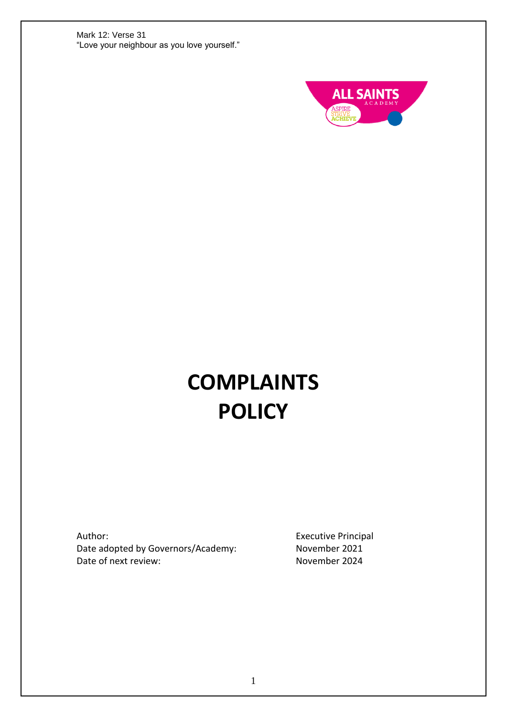

# **COMPLAINTS POLICY**

Author: Date adopted by Governors/Academy: Date of next review:

Executive Principal November 2021 November 2024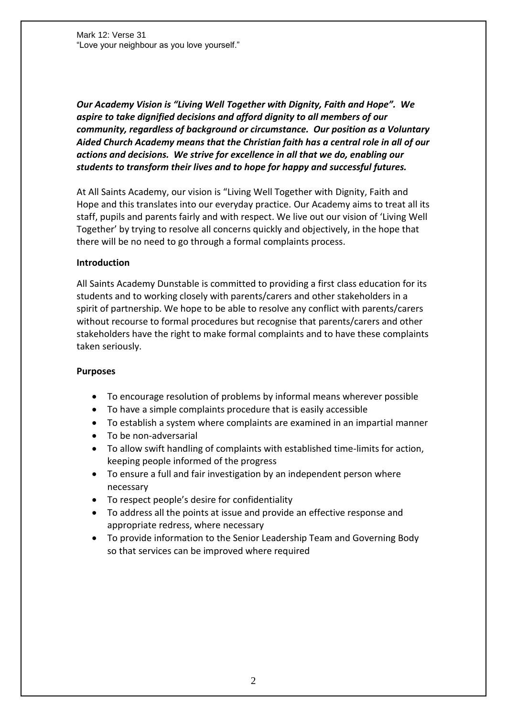*Our Academy Vision is "Living Well Together with Dignity, Faith and Hope". We aspire to take dignified decisions and afford dignity to all members of our community, regardless of background or circumstance. Our position as a Voluntary Aided Church Academy means that the Christian faith has a central role in all of our actions and decisions. We strive for excellence in all that we do, enabling our students to transform their lives and to hope for happy and successful futures.*

At All Saints Academy, our vision is "Living Well Together with Dignity, Faith and Hope and this translates into our everyday practice. Our Academy aims to treat all its staff, pupils and parents fairly and with respect. We live out our vision of 'Living Well Together' by trying to resolve all concerns quickly and objectively, in the hope that there will be no need to go through a formal complaints process.

#### **Introduction**

All Saints Academy Dunstable is committed to providing a first class education for its students and to working closely with parents/carers and other stakeholders in a spirit of partnership. We hope to be able to resolve any conflict with parents/carers without recourse to formal procedures but recognise that parents/carers and other stakeholders have the right to make formal complaints and to have these complaints taken seriously.

#### **Purposes**

- To encourage resolution of problems by informal means wherever possible
- To have a simple complaints procedure that is easily accessible
- To establish a system where complaints are examined in an impartial manner
- To be non-adversarial
- To allow swift handling of complaints with established time-limits for action, keeping people informed of the progress
- To ensure a full and fair investigation by an independent person where necessary
- To respect people's desire for confidentiality
- To address all the points at issue and provide an effective response and appropriate redress, where necessary
- To provide information to the Senior Leadership Team and Governing Body so that services can be improved where required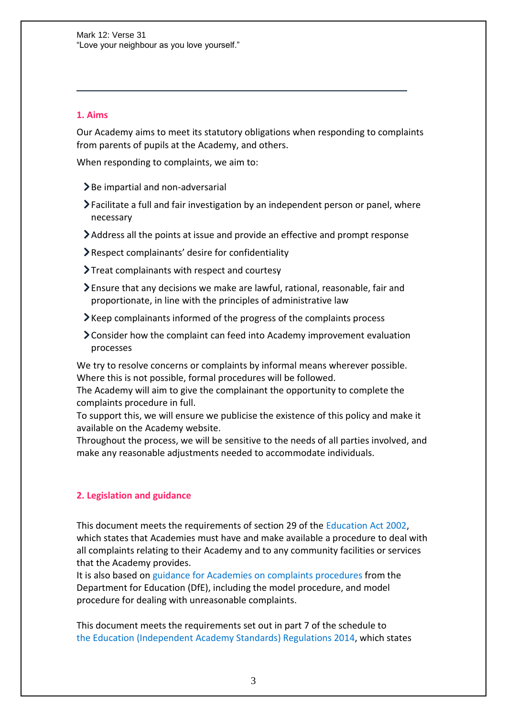# **1. Aims**

Our Academy aims to meet its statutory obligations when responding to complaints from parents of pupils at the Academy, and others.

When responding to complaints, we aim to:

- $\blacktriangleright$  Be impartial and non-adversarial
- Facilitate a full and fair investigation by an independent person or panel, where necessary
- Address all the points at issue and provide an effective and prompt response
- Respect complainants' desire for confidentiality
- Treat complainants with respect and courtesy
- Ensure that any decisions we make are lawful, rational, reasonable, fair and proportionate, in line with the principles of administrative law
- Keep complainants informed of the progress of the complaints process
- Consider how the complaint can feed into Academy improvement evaluation processes

We try to resolve concerns or complaints by informal means wherever possible. Where this is not possible, formal procedures will be followed.

The Academy will aim to give the complainant the opportunity to complete the complaints procedure in full.

To support this, we will ensure we publicise the existence of this policy and make it available on the Academy website.

Throughout the process, we will be sensitive to the needs of all parties involved, and make any reasonable adjustments needed to accommodate individuals.

## **2. Legislation and guidance**

This document meets the requirements of section 29 of the [Education Act 2002,](http://www.legislation.gov.uk/ukpga/2002/32/section/29) which states that Academies must have and make available a procedure to deal with all complaints relating to their Academy and to any community facilities or services that the Academy provides.

It is also based on guidance for Academies [on complaints procedures](https://www.gov.uk/government/publications/school-complaints-procedures) from the Department for Education (DfE), including the model procedure, and model procedure for dealing with unreasonable complaints.

This document meets the requirements set out in part 7 of the schedule to the [Education \(Independent Academy](http://www.legislation.gov.uk/uksi/2014/3283/schedule/made) Standards) Regulations 2014, which states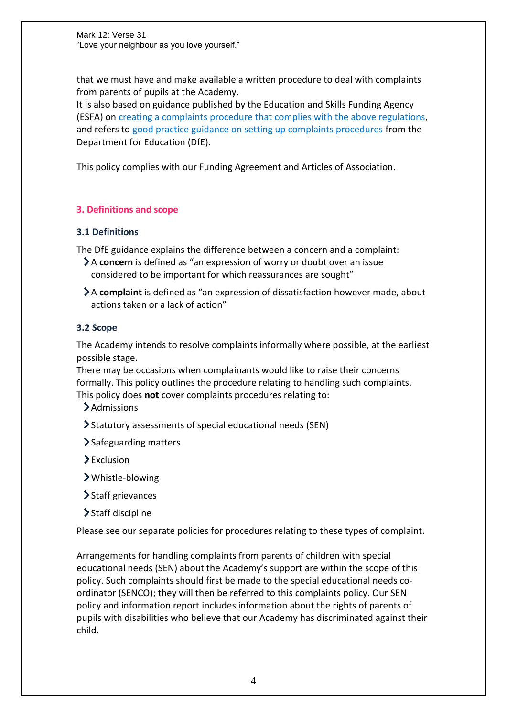that we must have and make available a written procedure to deal with complaints from parents of pupils at the Academy.

It is also based on guidance published by the Education and Skills Funding Agency (ESFA) on [creating a complaints procedure that complies with the above regulations,](https://www.gov.uk/government/publications/setting-up-an-academies-complaints-procedure) and refers to [good practice guidance on setting up complaints procedures](https://www.gov.uk/government/publications/school-complaints-procedures) from the Department for Education (DfE).

This policy complies with our Funding Agreement and Articles of Association.

## **3. Definitions and scope**

## **3.1 Definitions**

The DfE guidance explains the difference between a concern and a complaint:

- A **concern** is defined as "an expression of worry or doubt over an issue considered to be important for which reassurances are sought"
- A **complaint** is defined as "an expression of dissatisfaction however made, about actions taken or a lack of action"

## **3.2 Scope**

The Academy intends to resolve complaints informally where possible, at the earliest possible stage.

There may be occasions when complainants would like to raise their concerns formally. This policy outlines the procedure relating to handling such complaints. This policy does **not** cover complaints procedures relating to:

>Admissions

- Statutory assessments of special educational needs (SEN)
- > Safeguarding matters
- Exclusion
- Whistle-blowing
- > Staff grievances
- > Staff discipline

Please see our separate policies for procedures relating to these types of complaint.

Arrangements for handling complaints from parents of children with special educational needs (SEN) about the Academy's support are within the scope of this policy. Such complaints should first be made to the special educational needs coordinator (SENCO); they will then be referred to this complaints policy. Our SEN policy and information report includes information about the rights of parents of pupils with disabilities who believe that our Academy has discriminated against their child.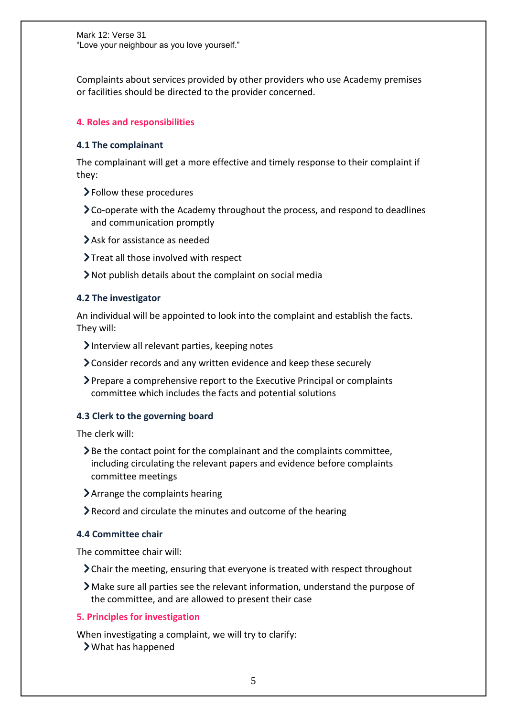Complaints about services provided by other providers who use Academy premises or facilities should be directed to the provider concerned.

# **4. Roles and responsibilities**

#### **4.1 The complainant**

The complainant will get a more effective and timely response to their complaint if they:

- Follow these procedures
- Co-operate with the Academy throughout the process, and respond to deadlines and communication promptly
- Ask for assistance as needed
- Treat all those involved with respect
- Not publish details about the complaint on social media

#### **4.2 The investigator**

An individual will be appointed to look into the complaint and establish the facts. They will:

- Interview all relevant parties, keeping notes
- Consider records and any written evidence and keep these securely
- Prepare a comprehensive report to the Executive Principal or complaints committee which includes the facts and potential solutions

#### **4.3 Clerk to the governing board**

The clerk will:

- $\geq$  Be the contact point for the complainant and the complaints committee, including circulating the relevant papers and evidence before complaints committee meetings
- Arrange the complaints hearing
- Record and circulate the minutes and outcome of the hearing

#### **4.4 Committee chair**

The committee chair will:

- Chair the meeting, ensuring that everyone is treated with respect throughout
- Make sure all parties see the relevant information, understand the purpose of the committee, and are allowed to present their case

#### **5. Principles for investigation**

When investigating a complaint, we will try to clarify: What has happened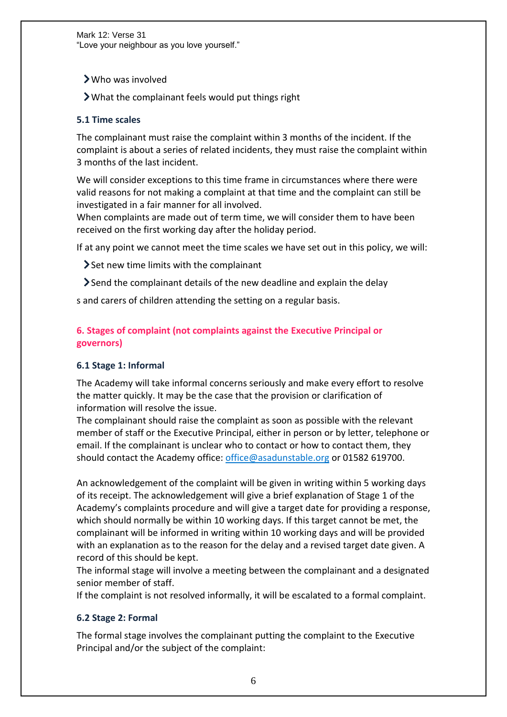Who was involved

What the complainant feels would put things right

# **5.1 Time scales**

The complainant must raise the complaint within 3 months of the incident. If the complaint is about a series of related incidents, they must raise the complaint within 3 months of the last incident.

We will consider exceptions to this time frame in circumstances where there were valid reasons for not making a complaint at that time and the complaint can still be investigated in a fair manner for all involved.

When complaints are made out of term time, we will consider them to have been received on the first working day after the holiday period.

If at any point we cannot meet the time scales we have set out in this policy, we will:

Set new time limits with the complainant

Send the complainant details of the new deadline and explain the delay

s and carers of children attending the setting on a regular basis.

# **6. Stages of complaint (not complaints against the Executive Principal or governors)**

## **6.1 Stage 1: Informal**

The Academy will take informal concerns seriously and make every effort to resolve the matter quickly. It may be the case that the provision or clarification of information will resolve the issue.

The complainant should raise the complaint as soon as possible with the relevant member of staff or the Executive Principal, either in person or by letter, telephone or email. If the complainant is unclear who to contact or how to contact them, they should contact the Academy office: [office@asadunstable.org](mailto:office@asadunstable.org) or 01582 619700.

An acknowledgement of the complaint will be given in writing within 5 working days of its receipt. The acknowledgement will give a brief explanation of Stage 1 of the Academy's complaints procedure and will give a target date for providing a response, which should normally be within 10 working days. If this target cannot be met, the complainant will be informed in writing within 10 working days and will be provided with an explanation as to the reason for the delay and a revised target date given. A record of this should be kept.

The informal stage will involve a meeting between the complainant and a designated senior member of staff.

If the complaint is not resolved informally, it will be escalated to a formal complaint.

# **6.2 Stage 2: Formal**

The formal stage involves the complainant putting the complaint to the Executive Principal and/or the subject of the complaint: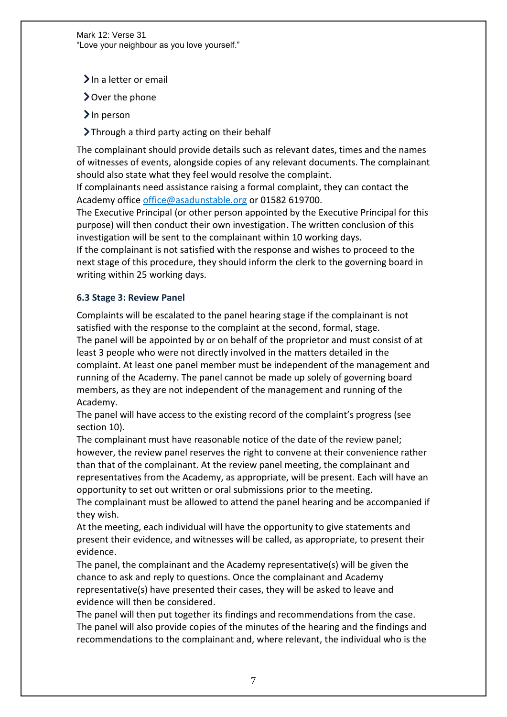$\sum$  In a letter or email

Over the phone

 $\sum$ In person

Through a third party acting on their behalf

The complainant should provide details such as relevant dates, times and the names of witnesses of events, alongside copies of any relevant documents. The complainant should also state what they feel would resolve the complaint.

If complainants need assistance raising a formal complaint, they can contact the Academy office [office@asadunstable.org](mailto:office@asadunstable.org) or 01582 619700.

The Executive Principal (or other person appointed by the Executive Principal for this purpose) will then conduct their own investigation. The written conclusion of this investigation will be sent to the complainant within 10 working days. If the complainant is not satisfied with the response and wishes to proceed to the

next stage of this procedure, they should inform the clerk to the governing board in writing within 25 working days.

## **6.3 Stage 3: Review Panel**

Complaints will be escalated to the panel hearing stage if the complainant is not satisfied with the response to the complaint at the second, formal, stage. The panel will be appointed by or on behalf of the proprietor and must consist of at least 3 people who were not directly involved in the matters detailed in the complaint. At least one panel member must be independent of the management and running of the Academy. The panel cannot be made up solely of governing board members, as they are not independent of the management and running of the Academy.

The panel will have access to the existing record of the complaint's progress (see section 10).

The complainant must have reasonable notice of the date of the review panel; however, the review panel reserves the right to convene at their convenience rather than that of the complainant. At the review panel meeting, the complainant and representatives from the Academy, as appropriate, will be present. Each will have an opportunity to set out written or oral submissions prior to the meeting.

The complainant must be allowed to attend the panel hearing and be accompanied if they wish.

At the meeting, each individual will have the opportunity to give statements and present their evidence, and witnesses will be called, as appropriate, to present their evidence.

The panel, the complainant and the Academy representative(s) will be given the chance to ask and reply to questions. Once the complainant and Academy representative(s) have presented their cases, they will be asked to leave and evidence will then be considered.

The panel will then put together its findings and recommendations from the case. The panel will also provide copies of the minutes of the hearing and the findings and recommendations to the complainant and, where relevant, the individual who is the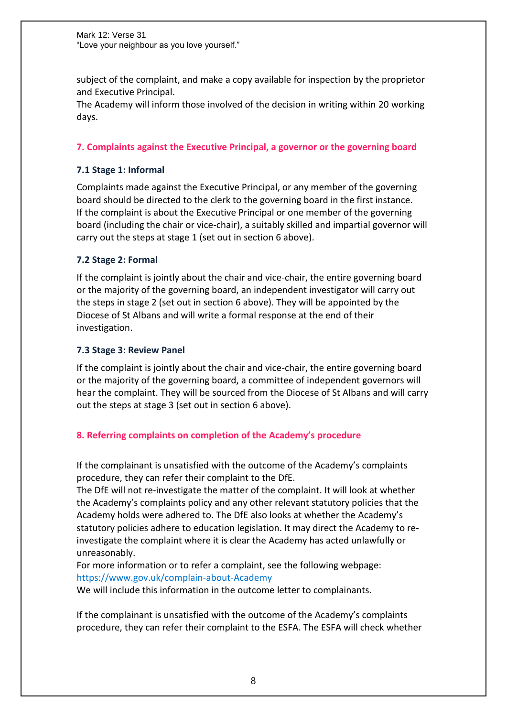subject of the complaint, and make a copy available for inspection by the proprietor and Executive Principal.

The Academy will inform those involved of the decision in writing within 20 working days.

# **7. Complaints against the Executive Principal, a governor or the governing board**

## **7.1 Stage 1: Informal**

Complaints made against the Executive Principal, or any member of the governing board should be directed to the clerk to the governing board in the first instance. If the complaint is about the Executive Principal or one member of the governing board (including the chair or vice-chair), a suitably skilled and impartial governor will carry out the steps at stage 1 (set out in section 6 above).

## **7.2 Stage 2: Formal**

If the complaint is jointly about the chair and vice-chair, the entire governing board or the majority of the governing board, an independent investigator will carry out the steps in stage 2 (set out in section 6 above). They will be appointed by the Diocese of St Albans and will write a formal response at the end of their investigation.

## **7.3 Stage 3: Review Panel**

If the complaint is jointly about the chair and vice-chair, the entire governing board or the majority of the governing board, a committee of independent governors will hear the complaint. They will be sourced from the Diocese of St Albans and will carry out the steps at stage 3 (set out in section 6 above).

# **8. Referring complaints on completion of the Academy's procedure**

If the complainant is unsatisfied with the outcome of the Academy's complaints procedure, they can refer their complaint to the DfE.

The DfE will not re-investigate the matter of the complaint. It will look at whether the Academy's complaints policy and any other relevant statutory policies that the Academy holds were adhered to. The DfE also looks at whether the Academy's statutory policies adhere to education legislation. It may direct the Academy to reinvestigate the complaint where it is clear the Academy has acted unlawfully or unreasonably.

For more information or to refer a complaint, see the following webpage: [https://www.gov.uk/complain-about-Academy](https://www.gov.uk/complain-about-school)

We will include this information in the outcome letter to complainants.

If the complainant is unsatisfied with the outcome of the Academy's complaints procedure, they can refer their complaint to the ESFA. The ESFA will check whether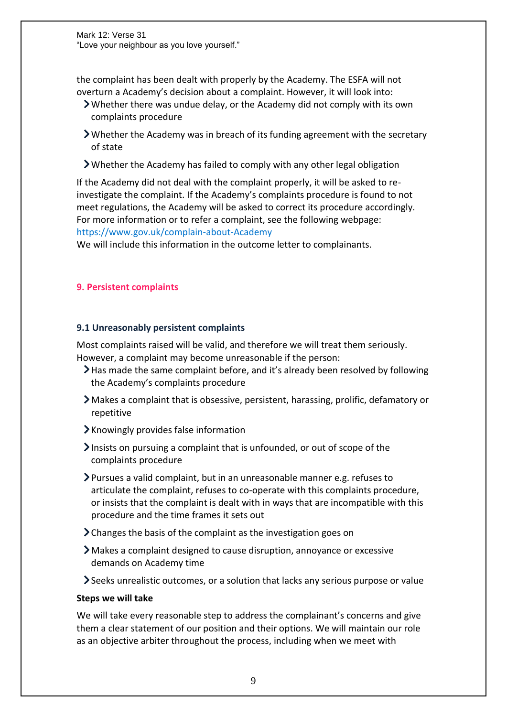the complaint has been dealt with properly by the Academy. The ESFA will not overturn a Academy's decision about a complaint. However, it will look into:

- Whether there was undue delay, or the Academy did not comply with its own complaints procedure
- Whether the Academy was in breach of its funding agreement with the secretary of state
- Whether the Academy has failed to comply with any other legal obligation

If the Academy did not deal with the complaint properly, it will be asked to reinvestigate the complaint. If the Academy's complaints procedure is found to not meet regulations, the Academy will be asked to correct its procedure accordingly. For more information or to refer a complaint, see the following webpage: [https://www.gov.uk/complain-about-Academy](https://www.gov.uk/complain-about-school)

We will include this information in the outcome letter to complainants.

## **9. Persistent complaints**

## **9.1 Unreasonably persistent complaints**

Most complaints raised will be valid, and therefore we will treat them seriously. However, a complaint may become unreasonable if the person:

- Has made the same complaint before, and it's already been resolved by following the Academy's complaints procedure
- Makes a complaint that is obsessive, persistent, harassing, prolific, defamatory or repetitive
- $\blacktriangleright$  Knowingly provides false information
- Insists on pursuing a complaint that is unfounded, or out of scope of the complaints procedure
- Pursues a valid complaint, but in an unreasonable manner e.g. refuses to articulate the complaint, refuses to co-operate with this complaints procedure, or insists that the complaint is dealt with in ways that are incompatible with this procedure and the time frames it sets out
- Changes the basis of the complaint as the investigation goes on
- Makes a complaint designed to cause disruption, annoyance or excessive demands on Academy time
- Seeks unrealistic outcomes, or a solution that lacks any serious purpose or value

## **Steps we will take**

We will take every reasonable step to address the complainant's concerns and give them a clear statement of our position and their options. We will maintain our role as an objective arbiter throughout the process, including when we meet with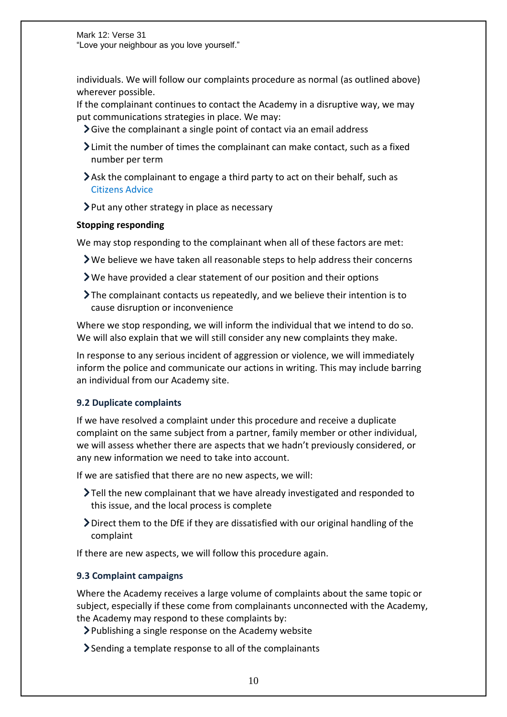individuals. We will follow our complaints procedure as normal (as outlined above) wherever possible.

If the complainant continues to contact the Academy in a disruptive way, we may put communications strategies in place. We may:

- Give the complainant a single point of contact via an email address
- Limit the number of times the complainant can make contact, such as a fixed number per term
- Ask the complainant to engage a third party to act on their behalf, such as [Citizens Advice](https://www.citizensadvice.org.uk/)
- $\triangleright$  Put any other strategy in place as necessary

## **Stopping responding**

We may stop responding to the complainant when all of these factors are met:

- $\triangleright$  We believe we have taken all reasonable steps to help address their concerns
- We have provided a clear statement of our position and their options
- The complainant contacts us repeatedly, and we believe their intention is to cause disruption or inconvenience

Where we stop responding, we will inform the individual that we intend to do so. We will also explain that we will still consider any new complaints they make.

In response to any serious incident of aggression or violence, we will immediately inform the police and communicate our actions in writing. This may include barring an individual from our Academy site.

# **9.2 Duplicate complaints**

If we have resolved a complaint under this procedure and receive a duplicate complaint on the same subject from a partner, family member or other individual, we will assess whether there are aspects that we hadn't previously considered, or any new information we need to take into account.

If we are satisfied that there are no new aspects, we will:

- Tell the new complainant that we have already investigated and responded to this issue, and the local process is complete
- Direct them to the DfE if they are dissatisfied with our original handling of the complaint

If there are new aspects, we will follow this procedure again.

# **9.3 Complaint campaigns**

Where the Academy receives a large volume of complaints about the same topic or subject, especially if these come from complainants unconnected with the Academy, the Academy may respond to these complaints by:

- Publishing a single response on the Academy website
- Sending a template response to all of the complainants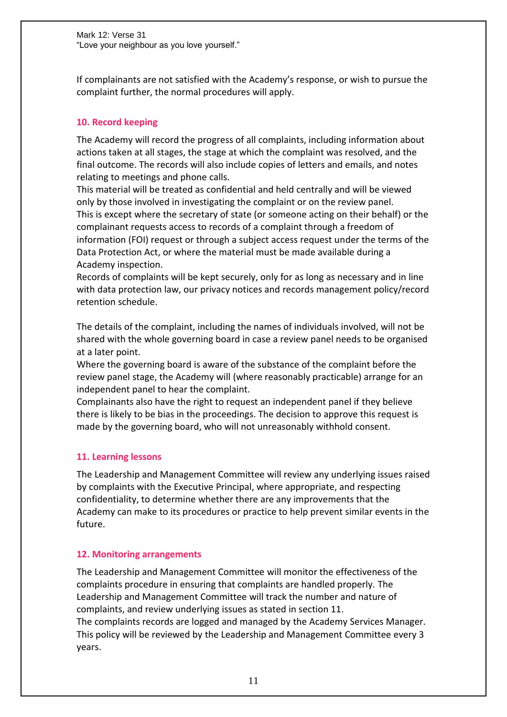If complainants are not satisfied with the Academy's response, or wish to pursue the complaint further, the normal procedures will apply.

# **10. Record keeping**

The Academy will record the progress of all complaints, including information about actions taken at all stages, the stage at which the complaint was resolved, and the final outcome. The records will also include copies of letters and emails, and notes relating to meetings and phone calls.

This material will be treated as confidential and held centrally and will be viewed only by those involved in investigating the complaint or on the review panel. This is except where the secretary of state (or someone acting on their behalf) or the complainant requests access to records of a complaint through a freedom of information (FOI) request or through a subject access request under the terms of the Data Protection Act, or where the material must be made available during a Academy inspection.

Records of complaints will be kept securely, only for as long as necessary and in line with data protection law, our privacy notices and records management policy/record retention schedule.

The details of the complaint, including the names of individuals involved, will not be shared with the whole governing board in case a review panel needs to be organised at a later point.

Where the governing board is aware of the substance of the complaint before the review panel stage, the Academy will (where reasonably practicable) arrange for an independent panel to hear the complaint.

Complainants also have the right to request an independent panel if they believe there is likely to be bias in the proceedings. The decision to approve this request is made by the governing board, who will not unreasonably withhold consent.

## **11. Learning lessons**

The Leadership and Management Committee will review any underlying issues raised by complaints with the Executive Principal, where appropriate, and respecting confidentiality, to determine whether there are any improvements that the Academy can make to its procedures or practice to help prevent similar events in the future.

## **12. Monitoring arrangements**

The Leadership and Management Committee will monitor the effectiveness of the complaints procedure in ensuring that complaints are handled properly. The Leadership and Management Committee will track the number and nature of complaints, and review underlying issues as stated in section 11. The complaints records are logged and managed by the Academy Services Manager. This policy will be reviewed by the Leadership and Management Committee every 3 years.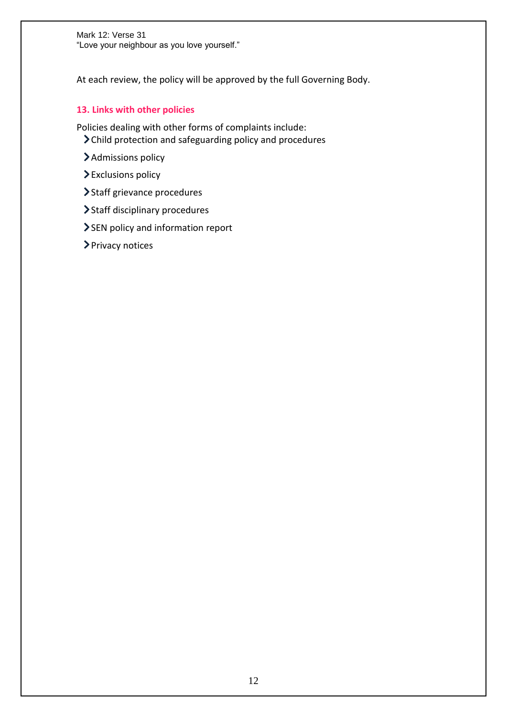At each review, the policy will be approved by the full Governing Body.

# **13. Links with other policies**

Policies dealing with other forms of complaints include:

- Child protection and safeguarding policy and procedures
- > Admissions policy
- Exclusions policy
- > Staff grievance procedures
- > Staff disciplinary procedures
- SEN policy and information report
- > Privacy notices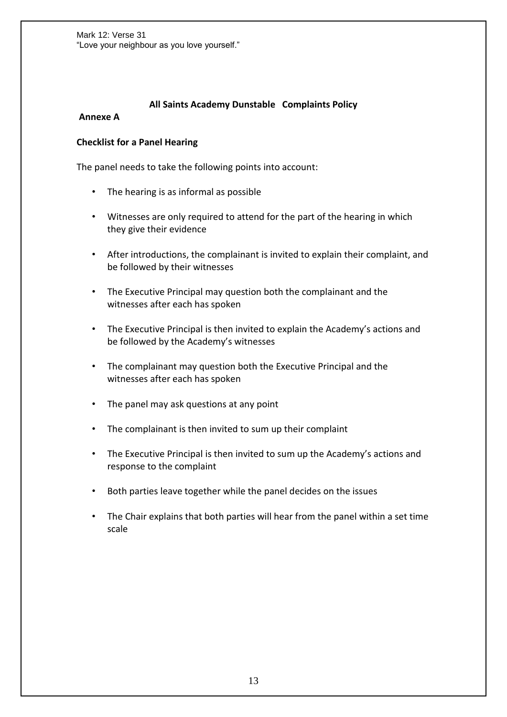## **All Saints Academy Dunstable Complaints Policy**

#### **Annexe A**

#### **Checklist for a Panel Hearing**

The panel needs to take the following points into account:

- The hearing is as informal as possible
- Witnesses are only required to attend for the part of the hearing in which they give their evidence
- After introductions, the complainant is invited to explain their complaint, and be followed by their witnesses
- The Executive Principal may question both the complainant and the witnesses after each has spoken
- The Executive Principal is then invited to explain the Academy's actions and be followed by the Academy's witnesses
- The complainant may question both the Executive Principal and the witnesses after each has spoken
- The panel may ask questions at any point
- The complainant is then invited to sum up their complaint
- The Executive Principal is then invited to sum up the Academy's actions and response to the complaint
- Both parties leave together while the panel decides on the issues
- The Chair explains that both parties will hear from the panel within a set time scale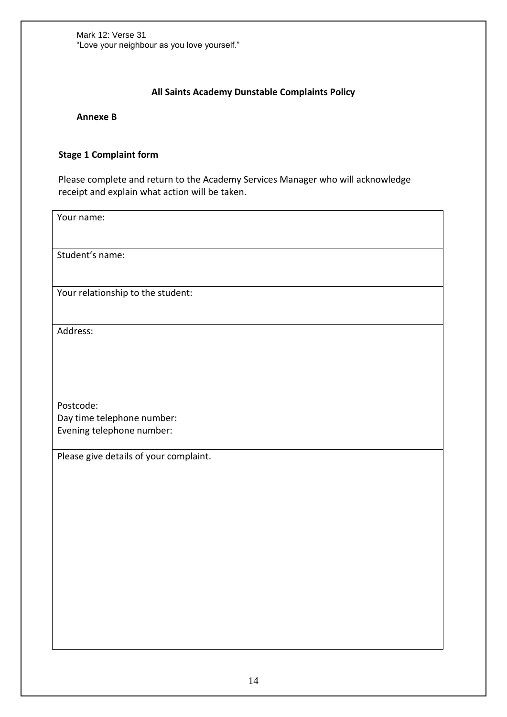# **All Saints Academy Dunstable Complaints Policy**

**Annexe B** 

# **Stage 1 Complaint form**

Please complete and return to the Academy Services Manager who will acknowledge receipt and explain what action will be taken.

Your name:

Student's name:

Your relationship to the student:

Address:

Postcode: Day time telephone number: Evening telephone number:

Please give details of your complaint.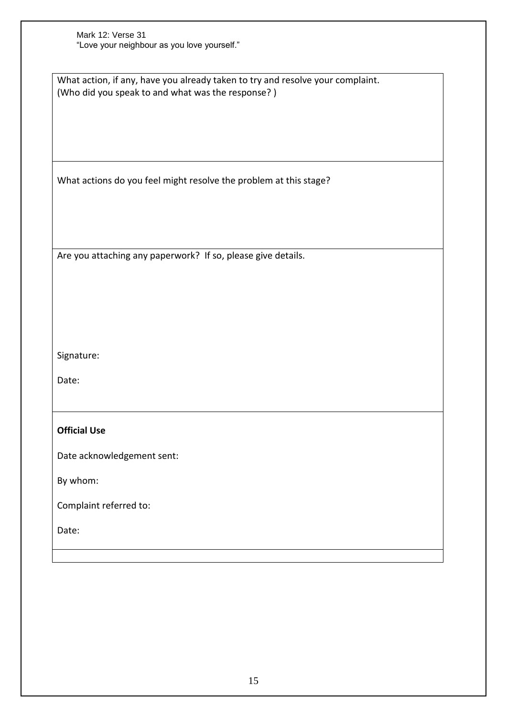| Mark 12: Verse 31                           |
|---------------------------------------------|
| "Love your neighbour as you love yourself." |

What action, if any, have you already taken to try and resolve your complaint. (Who did you speak to and what was the response? )

What actions do you feel might resolve the problem at this stage?

Are you attaching any paperwork? If so, please give details.

Signature:

Date:

# **Official Use**

Date acknowledgement sent:

By whom:

Complaint referred to:

Date: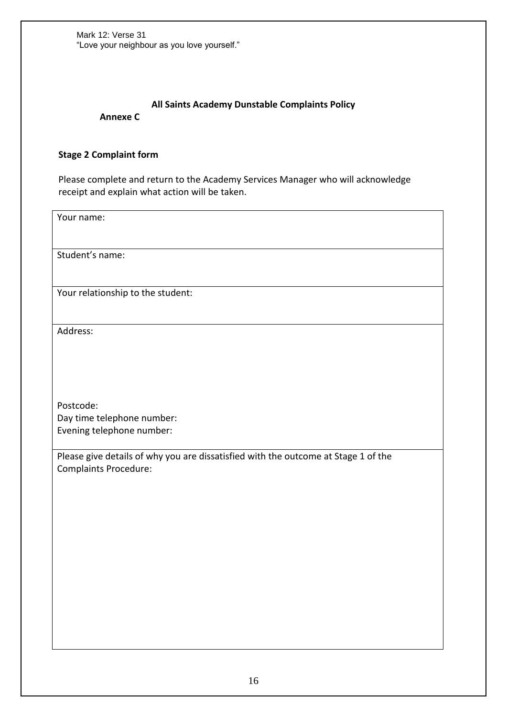# **All Saints Academy Dunstable Complaints Policy**

**Annexe C** 

#### **Stage 2 Complaint form**

Please complete and return to the Academy Services Manager who will acknowledge receipt and explain what action will be taken.

Your name:

Student's name:

Your relationship to the student:

Address:

Postcode: Day time telephone number: Evening telephone number:

Please give details of why you are dissatisfied with the outcome at Stage 1 of the Complaints Procedure: